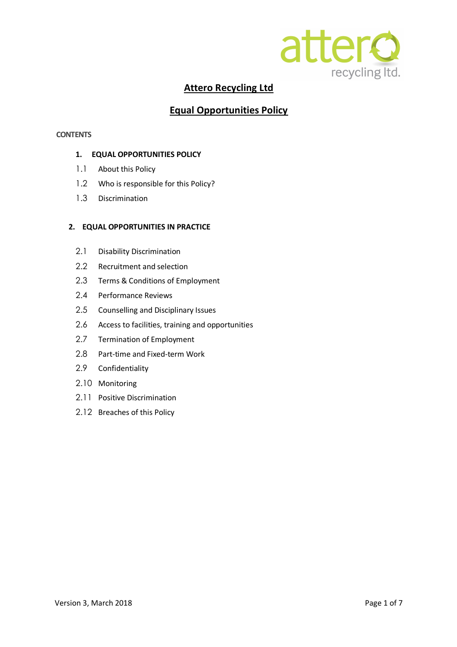

# **Attero Recycling Ltd**

## **Equal Opportunities Policy**

## **CONTENTS**

## **1. EQUAL OPPORTUNITIES POLICY**

- 1.1 About this Policy
- 1.2 Who is responsible for this Policy?
- 1.3 Discrimination

## **2. EQUAL OPPORTUNITIES IN PRACTICE**

- 2.1 Disability Discrimination
- 2.2 Recruitment and selection
- 2.3 Terms & Conditions of Employment
- 2.4 Performance Reviews
- 2.5 Counselling and Disciplinary Issues
- 2.6 Access to facilities, training and opportunities
- 2.7 Termination of Employment
- 2.8 Part-time and Fixed-term Work
- 2.9 Confidentiality
- 2.10 Monitoring
- 2.11 Positive Discrimination
- 2.12 Breaches of this Policy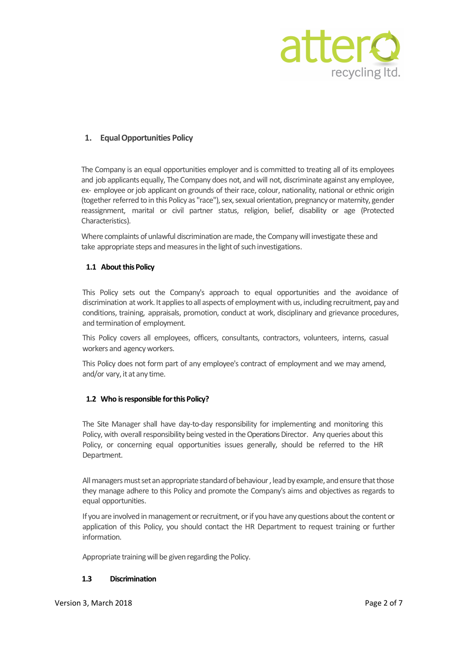

## **1. EqualOpportunities Policy**

The Company is an equal opportunities employer and is committed to treating all of its employees and job applicants equally, The Company does not, and will not, discriminate against any employee, ex- employee or job applicant on grounds of their race, colour, nationality, national or ethnic origin (together referred to in this Policy as "race"), sex, sexual orientation, pregnancy or maternity, gender reassignment, marital or civil partner status, religion, belief, disability or age (Protected Characteristics).

Where complaints of unlawful discrimination are made, the Company will investigate these and take appropriate steps and measures in the light of such investigations.

## **1.1 About this Policy**

This Policy sets out the Company's approach to equal opportunities and the avoidance of discrimination at work. It applies to all aspects of employment with us, including recruitment, pay and conditions, training, appraisals, promotion, conduct at work, disciplinary and grievance procedures, and termination of employment.

This Policy covers all employees, officers, consultants, contractors, volunteers, interns, casual workers and agency workers.

This Policy does not form part of any employee's contract of employment and we may amend, and/or vary, it at any time.

## 1.2 Who is responsible for this Policy?

The Site Manager shall have day-to-day responsibility for implementing and monitoring this Policy, with overall responsibility being vested in the Operations Director. Any queries about this Policy, or concerning equal opportunities issues generally, should be referred to the HR Department.

All managers must set an appropriate standard of behaviour, lead by example, and ensure that those they manage adhere to this Policy and promote the Company's aims and objectives as regards to equal opportunities.

If you are involved in management or recruitment, or if you have any questions about the content or application of this Policy, you should contact the HR Department to request training or further information.

Appropriate training will be given regarding the Policy.

#### **1.3 Discrimination**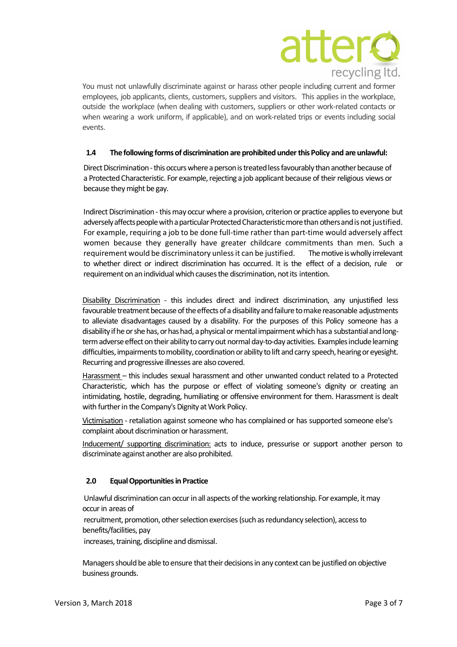

You must not unlawfully discriminate against or harass other people including current and former employees, job applicants, clients, customers, suppliers and visitors. This applies in the workplace, outside the workplace (when dealing with customers, suppliers or other work-related contacts or when wearing a work uniform, if applicable), and on work-related trips or events including social events.

## **1.4 The following formsof discrimination areprohibited underthisPolicy and areunlawful:**

Direct Discrimination - this occurs where a person is treated less favourably than another because of a Protected Characteristic. For example, rejecting a job applicant because of their religious views or because they might be gay.

Indirect Discrimination - this may occur where a provision, criterion or practice applies to everyone but adversely affects people with a particular Protected Characteristic more than others and is not justified. For example, requiring a job to be done full-time rather than part-time would adversely affect women because they generally have greater childcare commitments than men. Such a requirement would be discriminatory unless it can be justified. The motive is wholly irrelevant to whether direct or indirect discrimination has occurred. It is the effect of a decision, rule or requirement on an individual which causes the discrimination, not its intention.

Disability Discrimination - this includes direct and indirect discrimination, any unjustified less favourable treatment because of the effects of a disability and failure to make reasonable adjustments to alleviate disadvantages caused by a disability. For the purposes of this Policy someone has a disability if he or she has, or has had, a physical or mental impairment which has a substantial and longterm adverse effect on their ability to carry out normal day-to-day activities. Examples include learning difficulties, impairments to mobility, coordination or ability to lift and carry speech, hearing or eyesight. Recurring and progressive illnesses are also covered.

Harassment – this includes sexual harassment and other unwanted conduct related to a Protected Characteristic, which has the purpose or effect of violating someone's dignity or creating an intimidating, hostile, degrading, humiliating or offensive environment for them. Harassment is dealt with further in the Company's Dignity at Work Policy.

Victimisation - retaliation against someone who has complained or has supported someone else's complaint about discrimination or harassment.

Inducement/ supporting discrimination: acts to induce, pressurise or support another person to discriminate against another are also prohibited.

## **2.0 EqualOpportunitiesin Practice**

Unlawful discrimination can occur in all aspects of the working relationship. For example, it may occur in areas of

recruitment, promotion, other selection exercises (such as redundancy selection), access to benefits/facilities, pay

increases, training, discipline and dismissal.

Managers should be able to ensure that their decisions in any context can be justified on objective business grounds.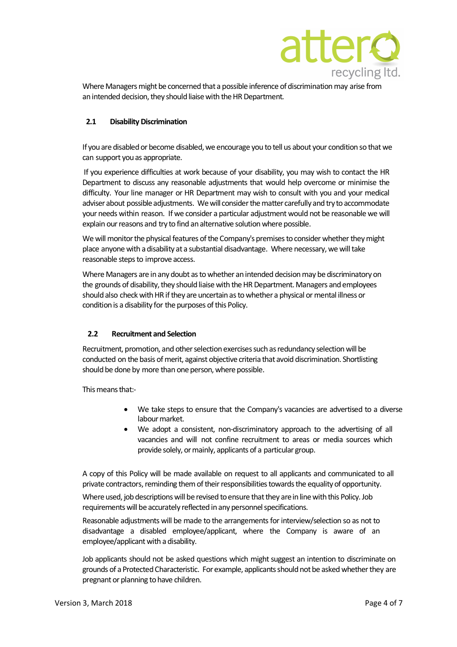

Where Managers might be concerned that a possible inference of discrimination may arise from an intended decision, they should liaise with the HR Department.

## **2.1 Disability Discrimination**

If you are disabled or become disabled, we encourage you to tell us about your condition so that we can support you as appropriate.

If you experience difficulties at work because of your disability, you may wish to contact the HR Department to discuss any reasonable adjustments that would help overcome or minimise the difficulty. Your line manager or HR Department may wish to consult with you and your medical adviser about possible adjustments. We will consider the matter carefully and try to accommodate your needs within reason. If we consider a particular adjustment would not be reasonable we will explain our reasons and try to find an alternative solution where possible.

We will monitor the physical features of the Company's premises to consider whether they might place anyone with a disability at a substantial disadvantage. Where necessary, we will take reasonable steps to improve access.

Where Managers are in any doubt as to whether an intended decision may be discriminatory on the grounds of disability, they should liaise with the HR Department. Managers and employees should also check with HR if they are uncertain as to whether a physical or mental illness or condition is a disability for the purposes of this Policy.

## **2.2 Recruitment and Selection**

Recruitment, promotion, and other selection exercises such as redundancy selection will be conducted on the basis of merit, against objective criteria that avoid discrimination. Shortlisting should be done by more than one person, where possible.

This means that:-

- We take steps to ensure that the Company's vacancies are advertised to a diverse labour market.
- We adopt a consistent, non-discriminatory approach to the advertising of all vacancies and will not confine recruitment to areas or media sources which provide solely, or mainly, applicants of a particular group.

A copy of this Policy will be made available on request to all applicants and communicated to all private contractors, reminding them of their responsibilities towards the equality of opportunity.

Where used, job descriptions will be revised to ensure that they are in line with this Policy. Job requirements will be accurately reflected in any personnel specifications.

Reasonable adjustments will be made to the arrangements for interview/selection so as not to disadvantage a disabled employee/applicant, where the Company is aware of an employee/applicant with a disability.

Job applicants should not be asked questions which might suggest an intention to discriminate on grounds of a Protected Characteristic. For example, applicants should not be asked whether they are pregnant or planning to have children.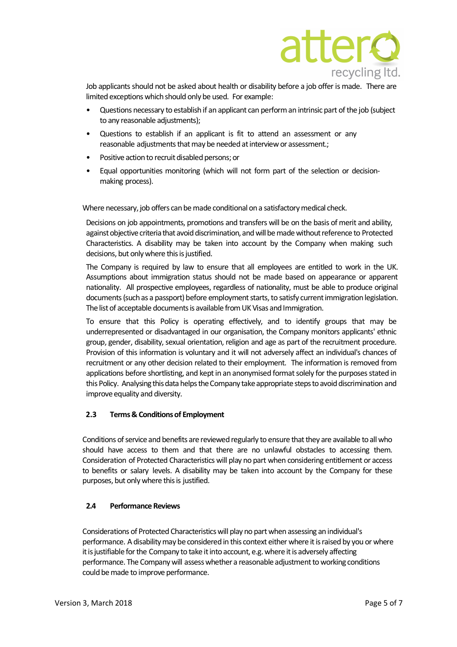

Job applicants should not be asked about health or disability before a job offeris made. There are limited exceptions which should only be used. For example:

- Questions necessary to establishif an applicant can performan intrinsic part of the job (subject to any reasonable adjustments);
- Questions to establish if an applicant is fit to attend an assessment or any reasonable adjustments that may be needed at interview or assessment.;
- Positive action to recruit disabled persons; or
- Equal opportunities monitoring (which will not form part of the selection or decisionmaking process).

Where necessary, job offers can be made conditional on a satisfactory medical check.

Decisions on job appointments, promotions and transfers will be on the basis of merit and ability, against objective criteria that avoid discrimination, and will be made without reference to Protected Characteristics. A disability may be taken into account by the Company when making such decisions, but only where this is justified.

The Company is required by law to ensure that all employees are entitled to work in the UK. Assumptions about immigration status should not be made based on appearance or apparent nationality. All prospective employees, regardless of nationality, must be able to produce original documents (such as a passport) before employment starts, to satisfy current immigration legislation. The list of acceptable documents is available from UK Visas and Immigration.

To ensure that this Policy is operating effectively, and to identify groups that may be underrepresented or disadvantaged in our organisation, the Company monitors applicants' ethnic group, gender, disability, sexual orientation, religion and age as part of the recruitment procedure. Provision of this information is voluntary and it will not adversely affect an individual's chances of recruitment or any other decision related to their employment. The information is removed from applications before shortlisting, and kept in an anonymised format solely for the purposes stated in this Policy. Analysing this data helps the Company take appropriate steps to avoid discrimination and improve equality and diversity.

## **2.3 Terms& Conditionsof Employment**

Conditions of service and benefits are reviewed regularly to ensure that they are available to all who should have access to them and that there are no unlawful obstacles to accessing them. Consideration of Protected Characteristics will play no part when considering entitlement or access to benefits or salary levels. A disability may be taken into account by the Company for these purposes, but only where this is justified.

## **2.4 Performance Reviews**

Considerations of Protected Characteristics will play no part when assessing an individual's performance. A disability may be considered in this context either where it is raised by you or where it is justifiable for the Company to take it into account, e.g. where it is adversely affecting performance. The Company will assess whether a reasonable adjustment to working conditions could be made to improve performance.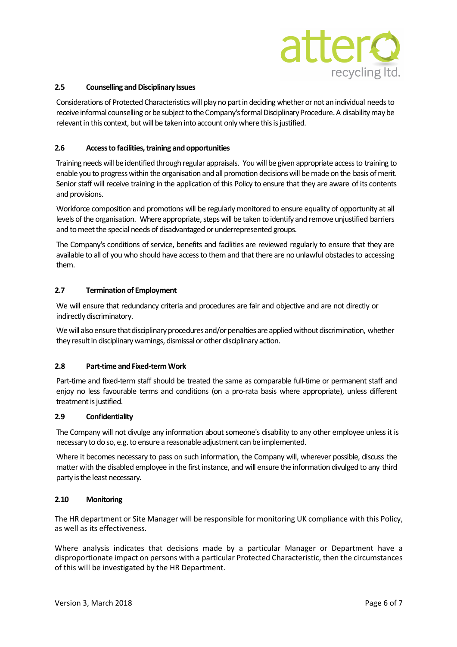

#### **2.5 Counselling andDisciplinary Issues**

Considerations of Protected Characteristicswill play no partindeciding whetherornot anindividual needsto receive informal counselling or be subject to the Company's formal Disciplinary Procedure. A disability may be relevant in this context, but will be taken into account only where this is justified.

#### **2.6 Accessto facilities,training and opportunities**

Training needs will be identified through regular appraisals. You will be given appropriate access to training to enable you to progress within the organisation and all promotion decisions will be made on the basis of merit. Senior staff will receive training in the application of this Policy to ensure that they are aware of its contents and provisions.

Workforce composition and promotions will be regularly monitored to ensure equality of opportunity at all levels of the organisation. Where appropriate, steps will be taken to identify and remove unjustified barriers and to meet the special needs of disadvantaged or underrepresented groups.

The Company's conditions of service, benefits and facilities are reviewed regularly to ensure that they are available to all of you who should have access to them and that there are no unlawful obstacles to accessing them.

#### **2.7 Termination of Employment**

We will ensure that redundancy criteria and procedures are fair and objective and are not directly or indirectly discriminatory.

We will also ensure that disciplinary procedures and/or penalties are applied without discrimination, whether they result in disciplinary warnings, dismissal or other disciplinary action.

## **2.8 Part-time and Fixed-termWork**

Part-time and fixed-term staff should be treated the same as comparable full-time or permanent staff and enjoy no less favourable terms and conditions (on a pro-rata basis where appropriate), unless different treatment is justified.

#### **2.9 Confidentiality**

The Company will not divulge any information about someone's disability to any other employee unless it is necessary to do so, e.g. to ensure a reasonable adjustment can be implemented.

Where it becomes necessary to pass on such information, the Company will, wherever possible, discuss the matter with the disabled employee in the first instance, and will ensure the information divulged to any third party is the least necessary.

#### **2.10 Monitoring**

The HR department or Site Manager will be responsible for monitoring UK compliance with this Policy, as well as its effectiveness.

Where analysis indicates that decisions made by a particular Manager or Department have a disproportionate impact on persons with a particular Protected Characteristic, then the circumstances of this will be investigated by the HR Department.